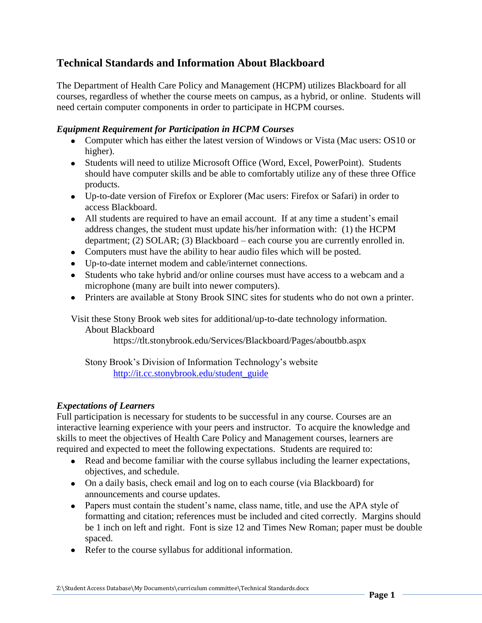# **Technical Standards and Information About Blackboard**

The Department of Health Care Policy and Management (HCPM) utilizes Blackboard for all courses, regardless of whether the course meets on campus, as a hybrid, or online. Students will need certain computer components in order to participate in HCPM courses.

## *Equipment Requirement for Participation in HCPM Courses*

- Computer which has either the latest version of Windows or Vista (Mac users: OS10 or higher).
- Students will need to utilize Microsoft Office (Word, Excel, PowerPoint). Students should have computer skills and be able to comfortably utilize any of these three Office products.
- Up-to-date version of Firefox or Explorer (Mac users: Firefox or Safari) in order to access Blackboard.
- All students are required to have an email account. If at any time a student's email address changes, the student must update his/her information with: (1) the HCPM department; (2) SOLAR; (3) Blackboard – each course you are currently enrolled in.
- Computers must have the ability to hear audio files which will be posted.
- Up-to-date internet modem and cable/internet connections.
- Students who take hybrid and/or online courses must have access to a webcam and a microphone (many are built into newer computers).
- Printers are available at Stony Brook SINC sites for students who do not own a printer.

Visit these Stony Brook web sites for additional/up-to-date technology information.

About Blackboard

https://tlt.stonybrook.edu/Services/Blackboard/Pages/aboutbb.aspx

Stony Brook's Division of Information Technology's website [http://it.cc.stonybrook.edu/student\\_guide](http://it.cc.stonybrook.edu/student_guide)

## *Expectations of Learners*

Full participation is necessary for students to be successful in any course. Courses are an interactive learning experience with your peers and instructor. To acquire the knowledge and skills to meet the objectives of Health Care Policy and Management courses, learners are required and expected to meet the following expectations. Students are required to:

- Read and become familiar with the course syllabus including the learner expectations, objectives, and schedule.
- On a daily basis, check email and log on to each course (via Blackboard) for announcements and course updates.
- Papers must contain the student's name, class name, title, and use the APA style of formatting and citation; references must be included and cited correctly. Margins should be 1 inch on left and right. Font is size 12 and Times New Roman; paper must be double spaced.
- Refer to the course syllabus for additional information.